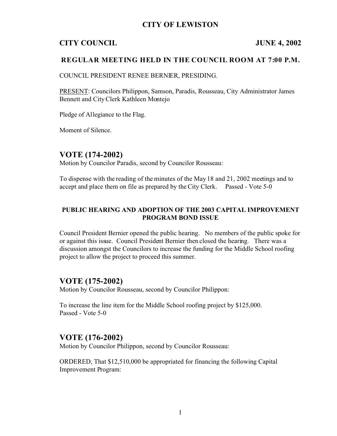# **CITY OF LEWISTON**

# **CITY COUNCIL JUNE 4, 2002**

### **REGULAR MEETING HELD IN THE COUNCIL ROOM AT 7:00 P.M.**

COUNCIL PRESIDENT RENEE BERNIER, PRESIDING.

PRESENT: Councilors Philippon, Samson, Paradis, Rousseau, City Administrator James Bennett and City Clerk Kathleen Montejo

Pledge of Allegiance to the Flag.

Moment of Silence.

## **VOTE (174-2002)**

Motion by Councilor Paradis, second by Councilor Rousseau:

To dispense with the reading of the minutes of the May 18 and 21, 2002 meetings and to accept and place them on file as prepared by the City Clerk. Passed - Vote 5-0

### **PUBLIC HEARING AND ADOPTION OF THE 2003 CAPITAL IMPROVEMENT PROGRAM BOND ISSUE**

Council President Bernier opened the public hearing. No members of the public spoke for or against this issue. Council President Bernier then closed the hearing. There was a discussion amongst the Councilors to increase the funding for the Middle School roofing project to allow the project to proceed this summer.

## **VOTE (175-2002)**

Motion by Councilor Rousseau, second by Councilor Philippon:

To increase the line item for the Middle School roofing project by \$125,000. Passed - Vote 5-0

### **VOTE (176-2002)**

Motion by Councilor Philippon, second by Councilor Rousseau:

ORDERED, That \$12,510,000 be appropriated for financing the following Capital Improvement Program: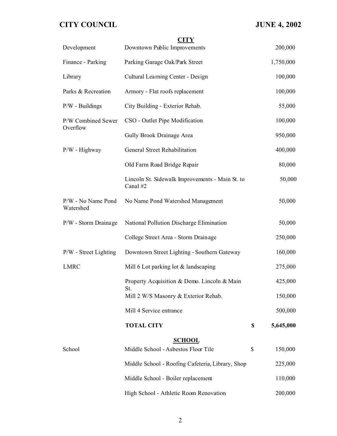| Development                     | <b>CITY</b><br>Downtown Public Improvements                 |        | 200,000   |
|---------------------------------|-------------------------------------------------------------|--------|-----------|
| Finance - Parking               | Parking Garage Oak/Park Street                              |        | 1,750,000 |
| Library                         | Cultural Learning Center - Design                           |        | 100,000   |
| Parks & Recreation              | Armory - Flat roofs replacement                             |        | 100,000   |
| $P/W$ - Buildings               | City Building - Exterior Rehab.                             |        | 55,000    |
| P/W Combined Sewer<br>Overflow  | CSO - Outlet Pipe Modification                              |        | 100,000   |
|                                 | Gully Brook Drainage Area                                   |        | 950,000   |
| $P/W$ - Highway                 | General Street Rehabilitation                               |        | 400,000   |
|                                 | Old Farm Road Bridge Repair                                 | 80,000 |           |
|                                 | Lincoln St. Sidewalk Improvements - Main St. to<br>Canal #2 |        | 50,000    |
| P/W - No Name Pond<br>Watershed | No Name Pond Watershed Management                           |        | 50,000    |
| P/W - Storm Drainage            | National Pollution Discharge Elimination                    |        | 50,000    |
|                                 | College Street Area - Storm Drainage                        |        | 250,000   |
| P/W - Street Lighting           | Downtown Street Lighting - Southern Gateway                 |        | 160,000   |
| <b>LMRC</b>                     | Mill 6 Lot parking lot & landscaping                        |        | 275,000   |
|                                 | Property Acquisition & Demo. Lincoln & Main                 |        | 425,000   |
|                                 | St.<br>Mill 2 W/S Masonry & Exterior Rehab.                 |        | 150,000   |
|                                 | Mill 4 Service entrance                                     |        | 500,000   |
|                                 | <b>TOTAL CITY</b>                                           | \$     | 5,645,000 |
|                                 | <b>SCHOOL</b>                                               |        |           |
| School                          | Middle School - Asbestos Floor Tile                         | \$     | 150,000   |
|                                 | Middle School - Roofing Cafeteria, Library, Shop            |        | 225,000   |
|                                 | Middle School - Boiler replacement                          |        | 110,000   |
|                                 | High School - Athletic Room Renovation                      |        | 200,000   |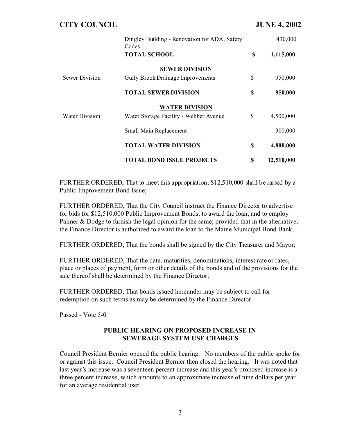| <b>CITY COUNCIL</b>   |                                                        |    | <b>JUNE 4, 2002</b> |  |
|-----------------------|--------------------------------------------------------|----|---------------------|--|
|                       | Dingley Building - Renovation for ADA, Safety<br>Codes |    | 430,000             |  |
|                       | <b>TOTAL SCHOOL</b>                                    | \$ | 1,115,000           |  |
|                       | <b>SEWER DIVISION</b>                                  |    |                     |  |
| Sewer Division        | <b>Gully Brook Drainage Improvements</b>               | \$ | 950,000             |  |
|                       | <b>TOTAL SEWER DIVISION</b>                            | \$ | 950,000             |  |
|                       | <b>WATER DIVISION</b>                                  |    |                     |  |
| <b>Water Division</b> | Water Storage Facility - Webber Avenue                 | \$ | 4,500,000           |  |
|                       | Small Main Replacement                                 |    | 300,000             |  |
|                       | <b>TOTAL WATER DIVISION</b>                            | \$ | 4,800,000           |  |
|                       | <b>TOTAL BOND ISSUE PROJECTS</b>                       | \$ | 12,510,000          |  |

FURTHER ORDERED, That to meet this appropriation, \$12,510,000 shall be raised by a Public Improvement Bond Issue;

FURTHER ORDERED, That the City Council instruct the Finance Director to advertise for bids for \$12,510,000 Public Improvement Bonds; to award the loan; and to employ Palmer & Dodge to furnish the legal opinion for the same; provided that in the alternative, the Finance Director is authorized to award the loan to the Maine Municipal Bond Bank;

FURTHER ORDERED, That the bonds shall be signed by the City Treasurer and Mayor;

FURTHER ORDERED, That the date, maturities, denominations, interest rate or rates, place or places of payment, form or other details of the bonds and of the provisions for the sale thereof shall be determined by the Finance Director;

FURTHER ORDERED, That bonds issued hereunder may be subject to call for redemption on such terms as may be determined by the Finance Director.

Passed - Vote 5-0

### **PUBLIC HEARING ON PROPOSED INCREASE IN SEWERAGE SYSTEM USE CHARGES**

Council President Bernier opened the public hearing. No members of the public spoke for or against this issue. Council President Bernier then closed the hearing. It was noted that last year's increase was a seventeen percent increase and this year's proposed increase is a three percent increase, which amounts to an approximate increase of nine dollars per year for an average residential user.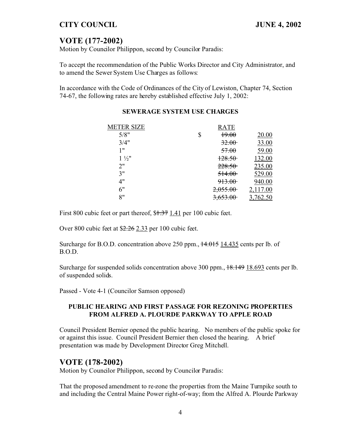# **VOTE (177-2002)**

Motion by Councilor Philippon, second by Councilor Paradis:

To accept the recommendation of the Public Works Director and City Administrator, and to amend the Sewer System Use Charges as follows:

In accordance with the Code of Ordinances of the City of Lewiston, Chapter 74, Section 74-67, the following rates are hereby established effective July 1, 2002:

| <b>METER SIZE</b> | <b>RATE</b>         |          |
|-------------------|---------------------|----------|
| 5/8"              | \$<br>19.00         | 20.00    |
| 3/4"              | 32.00               | 33.00    |
| 1 "               | 57.00               | 59.00    |
| $1\frac{1}{2}$    | 128.50              | 132.00   |
| 2"                | 228.50              | 235.00   |
| 3"                | 514.00              | 529.00   |
| 4"                | 913.00              | 940.00   |
| 6"                | 2,055.00            | 2,117.00 |
| 8"                | <del>3,653.00</del> | 3,762.50 |

### **SEWERAGE SYSTEM USE CHARGES**

First 800 cubic feet or part thereof, \$1.37 1.41 per 100 cubic feet.

Over 800 cubic feet at \$2.26 2.33 per 100 cubic feet.

Surcharge for B.O.D. concentration above 250 ppm.,  $\frac{14.015}{14.015}$  14.435 cents per lb. of B.O.D.

Surcharge for suspended solids concentration above 300 ppm.,  $18.149$  18.693 cents per lb. of suspended solids.

Passed - Vote 4-1 (Councilor Samson opposed)

### **PUBLIC HEARING AND FIRST PASSAGE FOR REZONING PROPERTIES FROM ALFRED A. PLOURDE PARKWAY TO APPLE ROAD**

Council President Bernier opened the public hearing. No members of the public spoke for or against this issue. Council President Bernier then closed the hearing. A brief presentation was made by Development Director Greg Mitchell.

## **VOTE (178-2002)**

Motion by Councilor Philippon, second by Councilor Paradis:

That the proposed amendment to re-zone the properties from the Maine Turnpike south to and including the Central Maine Power right-of-way; from the Alfred A. Plourde Parkway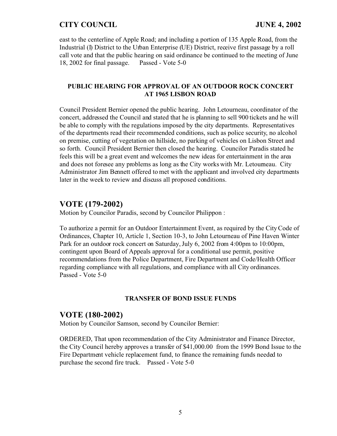east to the centerline of Apple Road; and including a portion of 135 Apple Road, from the Industrial (I) District to the Urban Enterprise (UE) District, receive first passage by a roll call vote and that the public hearing on said ordinance be continued to the meeting of June 18, 2002 for final passage. Passed - Vote 5-0

#### **PUBLIC HEARING FOR APPROVAL OF AN OUTDOOR ROCK CONCERT AT 1965 LISBON ROAD**

Council President Bernier opened the public hearing. John Letourneau, coordinator of the concert, addressed the Council and stated that he is planning to sell 900 tickets and he will be able to comply with the regulations imposed by the city departments. Representatives of the departments read their recommended conditions, such as police security, no alcohol on premise, cutting of vegetation on hillside, no parking of vehicles on Lisbon Street and so forth. Council President Bernier then closed the hearing. Councilor Paradis stated he feels this will be a great event and welcomes the new ideas for entertainment in the area and does not foresee any problems as long as the City works with Mr. Letourneau. City Administrator Jim Bennett offered to met with the applicant and involved city departments later in the week to review and discuss all proposed conditions.

# **VOTE (179-2002)**

Motion by Councilor Paradis, second by Councilor Philippon :

To authorize a permit for an Outdoor Entertainment Event, as required by the City Code of Ordinances, Chapter 10, Article 1, Section 10-3, to John Letourneau of Pine Haven Winter Park for an outdoor rock concert on Saturday, July 6, 2002 from 4:00pm to 10:00pm, contingent upon Board of Appeals approval for a conditional use permit, positive recommendations from the Police Department, Fire Department and Code/Health Officer regarding compliance with all regulations, and compliance with all City ordinances. Passed - Vote 5-0

#### **TRANSFER OF BOND ISSUE FUNDS**

# **VOTE (180-2002)**

Motion by Councilor Samson, second by Councilor Bernier:

ORDERED, That upon recommendation of the City Administrator and Finance Director, the City Council hereby approves a transfer of \$41,000.00 from the 1999 Bond Issue to the Fire Department vehicle replacement fund, to finance the remaining funds needed to purchase the second fire truck. Passed - Vote 5-0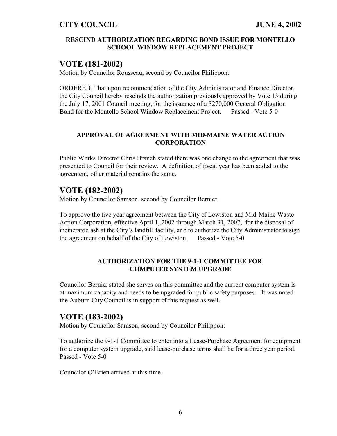#### **RESCIND AUTHORIZATION REGARDING BOND ISSUE FOR MONTELLO SCHOOL WINDOW REPLACEMENT PROJECT**

# **VOTE (181-2002)**

Motion by Councilor Rousseau, second by Councilor Philippon:

ORDERED, That upon recommendation of the City Administrator and Finance Director, the City Council hereby rescinds the authorization previously approved by Vote 13 during the July 17, 2001 Council meeting, for the issuance of a \$270,000 General Obligation Bond for the Montello School Window Replacement Project. Passed - Vote 5-0

### **APPROVAL OF AGREEMENT WITH MID-MAINE WATER ACTION CORPORATION**

Public Works Director Chris Branch stated there was one change to the agreement that was presented to Council for their review. A definition of fiscal year has been added to the agreement, other material remains the same.

# **VOTE (182-2002)**

Motion by Councilor Samson, second by Councilor Bernier:

To approve the five year agreement between the City of Lewiston and Mid-Maine Waste Action Corporation, effective April 1, 2002 through March 31, 2007, for the disposal of incinerated ash at the City's landfill facility, and to authorize the City Administrator to sign the agreement on behalf of the City of Lewiston. Passed - Vote 5-0

### **AUTHORIZATION FOR THE 9-1-1 COMMITTEE FOR COMPUTER SYSTEM UPGRADE**

Councilor Bernier stated she serves on this committee and the current computer system is at maximum capacity and needs to be upgraded for public safety purposes. It was noted the Auburn City Council is in support of this request as well.

# **VOTE (183-2002)**

Motion by Councilor Samson, second by Councilor Philippon:

To authorize the 9-1-1 Committee to enter into a Lease-Purchase Agreement for equipment for a computer system upgrade, said lease-purchase terms shall be for a three year period. Passed - Vote 5-0

Councilor O'Brien arrived at this time.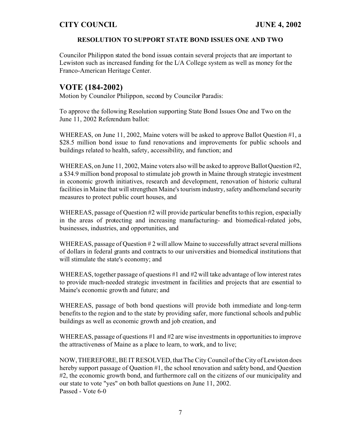### **RESOLUTION TO SUPPORT STATE BOND ISSUES ONE AND TWO**

Councilor Philippon stated the bond issues contain several projects that are important to Lewiston such as increased funding for the L/A College system as well as money for the Franco-American Heritage Center.

# **VOTE (184-2002)**

Motion by Councilor Philippon, second by Councilor Paradis:

To approve the following Resolution supporting State Bond Issues One and Two on the June 11, 2002 Referendum ballot:

WHEREAS, on June 11, 2002, Maine voters will be asked to approve Ballot Question #1, a \$28.5 million bond issue to fund renovations and improvements for public schools and buildings related to health, safety, accessibility, and function; and

WHEREAS, on June 11, 2002, Maine voters also will be asked to approve Ballot Question #2, a \$34.9 million bond proposal to stimulate job growth in Maine through strategic investment in economic growth initiatives, research and development, renovation of historic cultural facilities in Maine that will strengthen Maine's tourism industry, safety and homeland security measures to protect public court houses, and

WHEREAS, passage of Question #2 will provide particular benefits to this region, especially in the areas of protecting and increasing manufacturing- and biomedical-related jobs, businesses, industries, and opportunities, and

WHEREAS, passage of Question  $\#2$  will allow Maine to successfully attract several millions of dollars in federal grants and contracts to our universities and biomedical institutions that will stimulate the state's economy; and

WHEREAS, together passage of questions #1 and #2 will take advantage of low interest rates to provide much-needed strategic investment in facilities and projects that are essential to Maine's economic growth and future; and

WHEREAS, passage of both bond questions will provide both immediate and long-term benefits to the region and to the state by providing safer, more functional schools and public buildings as well as economic growth and job creation, and

WHEREAS, passage of questions #1 and #2 are wise investments in opportunities to improve the attractiveness of Maine as a place to learn, to work, and to live;

NOW, THEREFORE, BE IT RESOLVED, that The City Council of the City of Lewiston does hereby support passage of Question #1, the school renovation and safety bond, and Question #2, the economic growth bond, and furthermore call on the citizens of our municipality and our state to vote "yes" on both ballot questions on June 11, 2002. Passed - Vote 6-0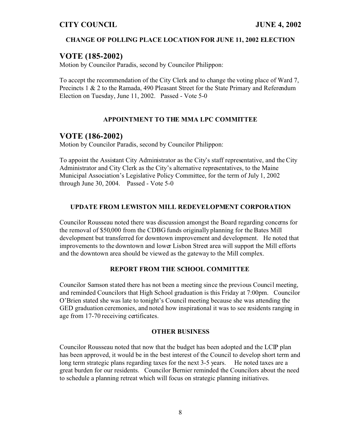### **CHANGE OF POLLING PLACE LOCATION FOR JUNE 11, 2002 ELECTION**

# **VOTE (185-2002)**

Motion by Councilor Paradis, second by Councilor Philippon:

To accept the recommendation of the City Clerk and to change the voting place of Ward 7, Precincts 1 & 2 to the Ramada, 490 Pleasant Street for the State Primary and Referendum Election on Tuesday, June 11, 2002. Passed - Vote 5-0

### **APPOINTMENT TO THE MMA LPC COMMITTEE**

### **VOTE (186-2002)**

Motion by Councilor Paradis, second by Councilor Philippon:

To appoint the Assistant City Administrator as the City's staff representative, and the City Administrator and City Clerk as the City's alternative representatives, to the Maine Municipal Association's Legislative Policy Committee, for the term of July 1, 2002 through June 30, 2004. Passed - Vote 5-0

#### **UPDATE FROM LEWISTON MILL REDEVELOPMENT CORPORATION**

Councilor Rousseau noted there was discussion amongst the Board regarding concerns for the removal of \$50,000 from the CDBG funds originally planning for the Bates Mill development but transferred for downtown improvement and development. He noted that improvements to the downtown and lower Lisbon Street area will support the Mill efforts and the downtown area should be viewed as the gateway to the Mill complex.

### **REPORT FROM THE SCHOOL COMMITTEE**

Councilor Samson stated there has not been a meeting since the previous Council meeting, and reminded Councilors that High School graduation is this Friday at 7:00pm. Councilor O'Brien stated she was late to tonight's Council meeting because she was attending the GED graduation ceremonies, and noted how inspirational it was to see residents ranging in age from 17-70 receiving certificates.

#### **OTHER BUSINESS**

Councilor Rousseau noted that now that the budget has been adopted and the LCIP plan has been approved, it would be in the best interest of the Council to develop short term and long term strategic plans regarding taxes for the next 3-5 years. He noted taxes are a great burden for our residents. Councilor Bernier reminded the Councilors about the need to schedule a planning retreat which will focus on strategic planning initiatives.